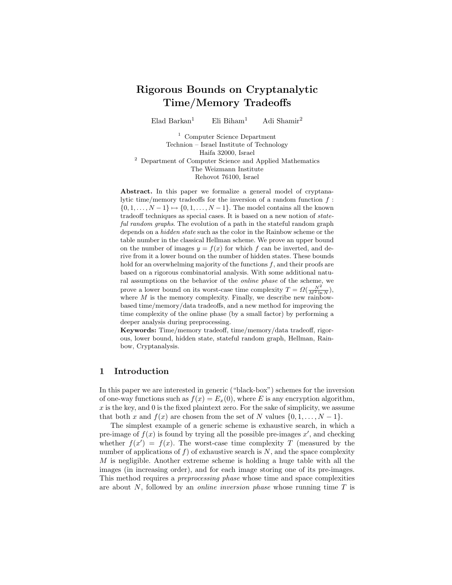# Rigorous Bounds on Cryptanalytic Time/Memory Tradeoffs

Elad Barkan<sup>1</sup> Eli Biham<sup>1</sup> Adi Shamir<sup>2</sup>

<sup>1</sup> Computer Science Department Technion – Israel Institute of Technology Haifa 32000, Israel <sup>2</sup> Department of Computer Science and Applied Mathematics The Weizmann Institute Rehovot 76100, Israel

Abstract. In this paper we formalize a general model of cryptanalytic time/memory tradeoffs for the inversion of a random function  $f$ :  $\{0, 1, \ldots, N-1\} \mapsto \{0, 1, \ldots, N-1\}.$  The model contains all the known tradeoff techniques as special cases. It is based on a new notion of stateful random graphs. The evolution of a path in the stateful random graph depends on a hidden state such as the color in the Rainbow scheme or the table number in the classical Hellman scheme. We prove an upper bound on the number of images  $y = f(x)$  for which f can be inverted, and derive from it a lower bound on the number of hidden states. These bounds hold for an overwhelming majority of the functions  $f$ , and their proofs are based on a rigorous combinatorial analysis. With some additional natural assumptions on the behavior of the online phase of the scheme, we prove a lower bound on its worst-case time complexity  $T = \Omega(\frac{N^2}{M^2 \ln N}),$ where  $M$  is the memory complexity. Finally, we describe new rainbowbased time/memory/data tradeoffs, and a new method for improving the time complexity of the online phase (by a small factor) by performing a deeper analysis during preprocessing.

Keywords: Time/memory tradeoff, time/memory/data tradeoff, rigorous, lower bound, hidden state, stateful random graph, Hellman, Rainbow, Cryptanalysis.

# 1 Introduction

In this paper we are interested in generic ("black-box") schemes for the inversion of one-way functions such as  $f(x) = E_x(0)$ , where E is any encryption algorithm,  $x$  is the key, and 0 is the fixed plaintext zero. For the sake of simplicity, we assume that both x and  $f(x)$  are chosen from the set of N values  $\{0, 1, \ldots, N-1\}$ .

The simplest example of a generic scheme is exhaustive search, in which a pre-image of  $f(x)$  is found by trying all the possible pre-images  $x'$ , and checking whether  $f(x') = f(x)$ . The worst-case time complexity T (measured by the number of applications of f) of exhaustive search is  $N$ , and the space complexity M is negligible. Another extreme scheme is holding a huge table with all the images (in increasing order), and for each image storing one of its pre-images. This method requires a preprocessing phase whose time and space complexities are about  $N$ , followed by an *online inversion phase* whose running time  $T$  is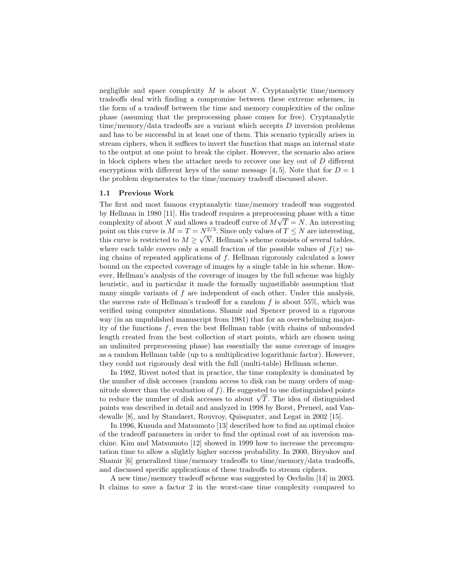negligible and space complexity  $M$  is about  $N$ . Cryptanalytic time/memory tradeoffs deal with finding a compromise between these extreme schemes, in the form of a tradeoff between the time and memory complexities of the online phase (assuming that the preprocessing phase comes for free). Cryptanalytic time/memory/data tradeoffs are a variant which accepts  $D$  inversion problems and has to be successful in at least one of them. This scenario typically arises in stream ciphers, when it suffices to invert the function that maps an internal state to the output at one point to break the cipher. However, the scenario also arises in block ciphers when the attacker needs to recover one key out of D different encryptions with different keys of the same message [4, 5]. Note that for  $D = 1$ the problem degenerates to the time/memory tradeoff discussed above.

#### 1.1 Previous Work

The first and most famous cryptanalytic time/memory tradeoff was suggested by Hellman in 1980 [11]. His tradeoff requires a preprocessing phase with a time complexity of about N and allows a tradeoff curve of  $M\sqrt{T} = N$ . An interesting point on this curve is  $M = T = N^{2/3}$ . Since only values of  $T \le N$  are interesting, this curve is restricted to  $M \geq \sqrt{N}$ . Hellman's scheme consists of several tables, where each table covers only a small fraction of the possible values of  $f(x)$  using chains of repeated applications of f. Hellman rigorously calculated a lower bound on the expected coverage of images by a single table in his scheme. However, Hellman's analysis of the coverage of images by the full scheme was highly heuristic, and in particular it made the formally unjustifiable assumption that many simple variants of  $f$  are independent of each other. Under this analysis, the success rate of Hellman's tradeoff for a random  $f$  is about 55%, which was verified using computer simulations. Shamir and Spencer proved in a rigorous way (in an unpublished manuscript from 1981) that for an overwhelming majority of the functions  $f$ , even the best Hellman table (with chains of unbounded length created from the best collection of start points, which are chosen using an unlimited preprocessing phase) has essentially the same coverage of images as a random Hellman table (up to a multiplicative logarithmic factor). However, they could not rigorously deal with the full (multi-table) Hellman scheme.

In 1982, Rivest noted that in practice, the time complexity is dominated by the number of disk accesses (random access to disk can be many orders of magnitude slower than the evaluation of  $f$ ). He suggested to use distinguished points mtude slower than the evaluation of  $J$ ). He suggested to use distinguished points<br>to reduce the number of disk accesses to about  $\sqrt{T}$ . The idea of distinguished points was described in detail and analyzed in 1998 by Borst, Preneel, and Vandewalle [8], and by Standaert, Rouvroy, Quisquater, and Legat in 2002 [15].

In 1996, Kusuda and Matsumoto [13] described how to find an optimal choice of the tradeoff parameters in order to find the optimal cost of an inversion machine. Kim and Matsumoto [12] showed in 1999 how to increase the precomputation time to allow a slightly higher success probability. In 2000, Biryukov and Shamir [6] generalized time/memory tradeoffs to time/memory/data tradeoffs, and discussed specific applications of these tradeoffs to stream ciphers.

A new time/memory tradeoff scheme was suggested by Oechslin [14] in 2003. It claims to save a factor 2 in the worst-case time complexity compared to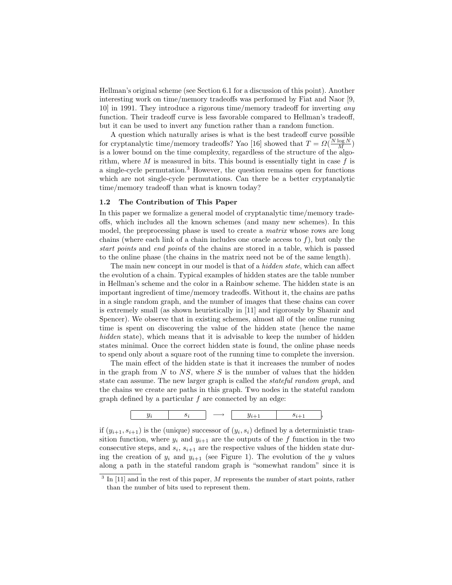Hellman's original scheme (see Section 6.1 for a discussion of this point). Another interesting work on time/memory tradeoffs was performed by Fiat and Naor [9, 10] in 1991. They introduce a rigorous time/memory tradeoff for inverting any function. Their tradeoff curve is less favorable compared to Hellman's tradeoff, but it can be used to invert any function rather than a random function.

A question which naturally arises is what is the best tradeoff curve possible for cryptanalytic time/memory tradeoffs? Yao [16] showed that  $T = \Omega(\frac{N \log N}{M})$ is a lower bound on the time complexity, regardless of the structure of the algorithm, where  $M$  is measured in bits. This bound is essentially tight in case  $f$  is a single-cycle permutation.<sup>3</sup> However, the question remains open for functions which are not single-cycle permutations. Can there be a better cryptanalytic time/memory tradeoff than what is known today?

### 1.2 The Contribution of This Paper

In this paper we formalize a general model of cryptanalytic time/memory tradeoffs, which includes all the known schemes (and many new schemes). In this model, the preprocessing phase is used to create a *matrix* whose rows are long chains (where each link of a chain includes one oracle access to  $f$ ), but only the start points and end points of the chains are stored in a table, which is passed to the online phase (the chains in the matrix need not be of the same length).

The main new concept in our model is that of a hidden state, which can affect the evolution of a chain. Typical examples of hidden states are the table number in Hellman's scheme and the color in a Rainbow scheme. The hidden state is an important ingredient of time/memory tradeoffs. Without it, the chains are paths in a single random graph, and the number of images that these chains can cover is extremely small (as shown heuristically in [11] and rigorously by Shamir and Spencer). We observe that in existing schemes, almost all of the online running time is spent on discovering the value of the hidden state (hence the name hidden state), which means that it is advisable to keep the number of hidden states minimal. Once the correct hidden state is found, the online phase needs to spend only about a square root of the running time to complete the inversion.

The main effect of the hidden state is that it increases the number of nodes in the graph from N to  $NS$ , where S is the number of values that the hidden state can assume. The new larger graph is called the *stateful random graph*, and the chains we create are paths in this graph. Two nodes in the stateful random graph defined by a particular  $f$  are connected by an edge:



if  $(y_{i+1}, s_{i+1})$  is the (unique) successor of  $(y_i, s_i)$  defined by a deterministic transition function, where  $y_i$  and  $y_{i+1}$  are the outputs of the f function in the two consecutive steps, and  $s_i$ ,  $s_{i+1}$  are the respective values of the hidden state during the creation of  $y_i$  and  $y_{i+1}$  (see Figure 1). The evolution of the y values along a path in the stateful random graph is "somewhat random" since it is

 $3 \text{ In } [11]$  and in the rest of this paper, M represents the number of start points, rather than the number of bits used to represent them.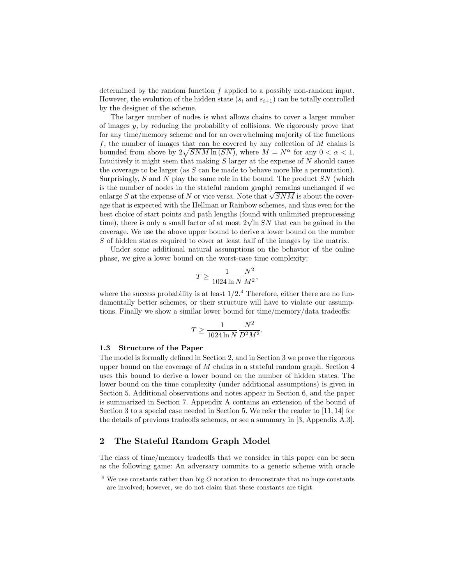determined by the random function f applied to a possibly non-random input. However, the evolution of the hidden state  $(s_i \text{ and } s_{i+1})$  can be totally controlled by the designer of the scheme.

The larger number of nodes is what allows chains to cover a larger number of images y, by reducing the probability of collisions. We rigorously prove that for any time/memory scheme and for an overwhelming majority of the functions f, the number of images that can be covered by any collection of  $M$  chains is bounded from above by  $2\sqrt{SNM \ln(SN)}$ , where  $M = N^{\alpha}$  for any  $0 < \alpha < 1$ . Intuitively it might seem that making S larger at the expense of N should cause the coverage to be larger (as S can be made to behave more like a permutation). Surprisingly,  $S$  and  $N$  play the same role in the bound. The product  $SN$  (which is the number of nodes in the stateful random graph) remains unchanged if we is the number of nodes in the stateful random graph) remains unchanged if we<br>enlarge S at the expense of N or vice versa. Note that  $\sqrt{SNM}$  is about the coverage that is expected with the Hellman or Rainbow schemes, and thus even for the best choice of start points and path lengths (found with unlimited preprocessing best choice of start points and path lengths (found with unlimited preprocessing time), there is only a small factor of at most  $2\sqrt{\ln SN}$  that can be gained in the coverage. We use the above upper bound to derive a lower bound on the number S of hidden states required to cover at least half of the images by the matrix.

Under some additional natural assumptions on the behavior of the online phase, we give a lower bound on the worst-case time complexity:

$$
T \ge \frac{1}{1024 \ln N} \frac{N^2}{M^2},
$$

where the success probability is at least  $1/2<sup>4</sup>$  Therefore, either there are no fundamentally better schemes, or their structure will have to violate our assumptions. Finally we show a similar lower bound for time/memory/data tradeoffs:

$$
T \geq \frac{1}{1024 \ln N} \frac{N^2}{D^2 M^2}.
$$

#### 1.3 Structure of the Paper

The model is formally defined in Section 2, and in Section 3 we prove the rigorous upper bound on the coverage of  $M$  chains in a stateful random graph. Section  $4$ uses this bound to derive a lower bound on the number of hidden states. The lower bound on the time complexity (under additional assumptions) is given in Section 5. Additional observations and notes appear in Section 6, and the paper is summarized in Section 7. Appendix A contains an extension of the bound of Section 3 to a special case needed in Section 5. We refer the reader to [11, 14] for the details of previous tradeoffs schemes, or see a summary in [3, Appendix A.3].

# 2 The Stateful Random Graph Model

The class of time/memory tradeoffs that we consider in this paper can be seen as the following game: An adversary commits to a generic scheme with oracle

 $4$  We use constants rather than big  $O$  notation to demonstrate that no huge constants are involved; however, we do not claim that these constants are tight.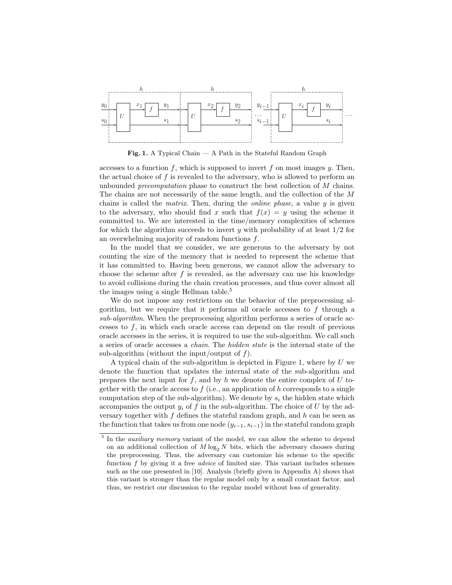

Fig. 1. A Typical Chain — A Path in the Stateful Random Graph

accesses to a function f, which is supposed to invert f on most images y. Then, the actual choice of  $f$  is revealed to the adversary, who is allowed to perform an unbounded precomputation phase to construct the best collection of M chains. The chains are not necessarily of the same length, and the collection of the M chains is called the *matrix*. Then, during the *online phase*, a value  $y$  is given to the adversary, who should find x such that  $f(x) = y$  using the scheme it committed to. We are interested in the time/memory complexities of schemes for which the algorithm succeeds to invert y with probability of at least  $1/2$  for an overwhelming majority of random functions f.

In the model that we consider, we are generous to the adversary by not counting the size of the memory that is needed to represent the scheme that it has committed to. Having been generous, we cannot allow the adversary to choose the scheme after f is revealed, as the adversary can use his knowledge to avoid collisions during the chain creation processes, and thus cover almost all the images using a single Hellman table.<sup>5</sup>

We do not impose any restrictions on the behavior of the preprocessing algorithm, but we require that it performs all oracle accesses to  $f$  through a sub-algorithm. When the preprocessing algorithm performs a series of oracle accesses to  $f$ , in which each oracle access can depend on the result of previous oracle accesses in the series, it is required to use the sub-algorithm. We call such a series of oracle accesses a chain. The hidden state is the internal state of the sub-algorithm (without the input/output of  $f$ ).

A typical chain of the sub-algorithm is depicted in Figure 1, where by U we denote the function that updates the internal state of the sub-algorithm and prepares the next input for  $f$ , and by h we denote the entire complex of  $U$  together with the oracle access to  $f$  (i.e., an application of h corresponds to a single computation step of the sub-algorithm). We denote by  $s_i$  the hidden state which accompanies the output  $y_i$  of f in the sub-algorithm. The choice of U by the adversary together with  $f$  defines the stateful random graph, and  $h$  can be seen as the function that takes us from one node  $(y_{i-1}, s_{i-1})$  in the stateful random graph

<sup>&</sup>lt;sup>5</sup> In the *auxiliary memory* variant of the model, we can allow the scheme to depend on an additional collection of  $M \log_2 N$  bits, which the adversary chooses during the preprocessing. Thus, the adversary can customize his scheme to the specific function  $f$  by giving it a free *advice* of limited size. This variant includes schemes such as the one presented in [10]. Analysis (briefly given in Appendix A) shows that this variant is stronger than the regular model only by a small constant factor, and thus, we restrict our discussion to the regular model without loss of generality.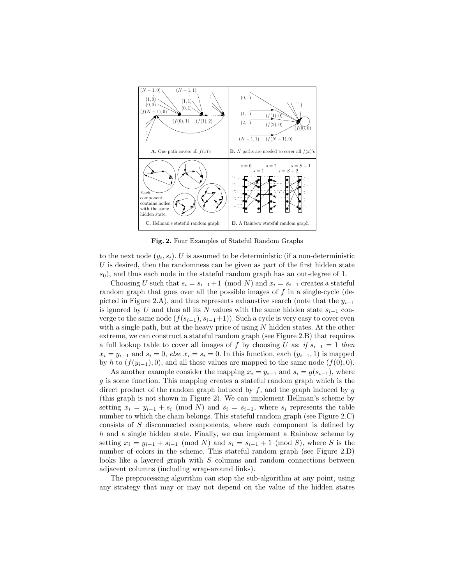

Fig. 2. Four Examples of Stateful Random Graphs

to the next node  $(y_i, s_i)$ . U is assumed to be deterministic (if a non-deterministic U is desired, then the randomness can be given as part of the first hidden state  $s_0$ , and thus each node in the stateful random graph has an out-degree of 1.

Choosing U such that  $s_i = s_{i-1}+1 \pmod{N}$  and  $x_i = s_{i-1}$  creates a stateful random graph that goes over all the possible images of  $f$  in a single-cycle (depicted in Figure 2.A), and thus represents exhaustive search (note that the  $y_{i-1}$ is ignored by U and thus all its N values with the same hidden state  $s_{i-1}$  converge to the same node  $(f(s_{i-1}), s_{i-1}+1))$ . Such a cycle is very easy to cover even with a single path, but at the heavy price of using N hidden states. At the other extreme, we can construct a stateful random graph (see Figure 2.B) that requires a full lookup table to cover all images of f by choosing U as: if  $s_{i-1} = 1$  then  $x_i = y_{i-1}$  and  $s_i = 0$ , else  $x_i = s_i = 0$ . In this function, each  $(y_{i-1}, 1)$  is mapped by h to  $(f(y_{i-1}), 0)$ , and all these values are mapped to the same node  $(f(0), 0)$ .

As another example consider the mapping  $x_i = y_{i-1}$  and  $s_i = g(s_{i-1})$ , where g is some function. This mapping creates a stateful random graph which is the direct product of the random graph induced by  $f$ , and the graph induced by  $g$ (this graph is not shown in Figure 2). We can implement Hellman's scheme by setting  $x_i = y_{i-1} + s_i \pmod{N}$  and  $s_i = s_{i-1}$ , where  $s_i$  represents the table number to which the chain belongs. This stateful random graph (see Figure 2.C) consists of S disconnected components, where each component is defined by  $h$  and a single hidden state. Finally, we can implement a Rainbow scheme by setting  $x_i = y_{i-1} + s_{i-1} \pmod{N}$  and  $s_i = s_{i-1} + 1 \pmod{S}$ , where S is the number of colors in the scheme. This stateful random graph (see Figure 2.D) looks like a layered graph with  $S$  columns and random connections between adjacent columns (including wrap-around links).

The preprocessing algorithm can stop the sub-algorithm at any point, using any strategy that may or may not depend on the value of the hidden states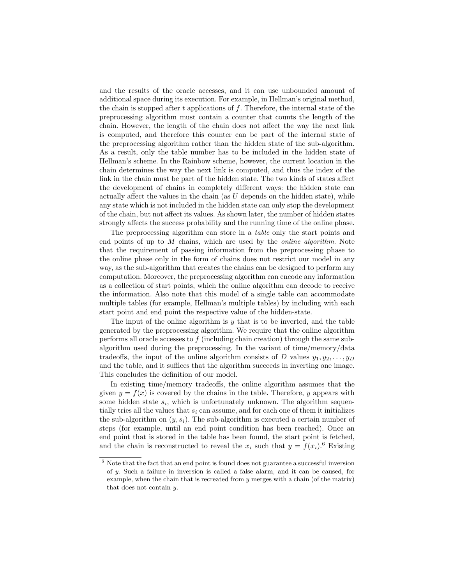and the results of the oracle accesses, and it can use unbounded amount of additional space during its execution. For example, in Hellman's original method, the chain is stopped after t applications of f. Therefore, the internal state of the preprocessing algorithm must contain a counter that counts the length of the chain. However, the length of the chain does not affect the way the next link is computed, and therefore this counter can be part of the internal state of the preprocessing algorithm rather than the hidden state of the sub-algorithm. As a result, only the table number has to be included in the hidden state of Hellman's scheme. In the Rainbow scheme, however, the current location in the chain determines the way the next link is computed, and thus the index of the link in the chain must be part of the hidden state. The two kinds of states affect the development of chains in completely different ways: the hidden state can actually affect the values in the chain (as  $U$  depends on the hidden state), while any state which is not included in the hidden state can only stop the development of the chain, but not affect its values. As shown later, the number of hidden states strongly affects the success probability and the running time of the online phase.

The preprocessing algorithm can store in a table only the start points and end points of up to M chains, which are used by the *online algorithm*. Note that the requirement of passing information from the preprocessing phase to the online phase only in the form of chains does not restrict our model in any way, as the sub-algorithm that creates the chains can be designed to perform any computation. Moreover, the preprocessing algorithm can encode any information as a collection of start points, which the online algorithm can decode to receive the information. Also note that this model of a single table can accommodate multiple tables (for example, Hellman's multiple tables) by including with each start point and end point the respective value of the hidden-state.

The input of the online algorithm is  $y$  that is to be inverted, and the table generated by the preprocessing algorithm. We require that the online algorithm performs all oracle accesses to f (including chain creation) through the same subalgorithm used during the preprocessing. In the variant of time/memory/data tradeoffs, the input of the online algorithm consists of D values  $y_1, y_2, \ldots, y_D$ and the table, and it suffices that the algorithm succeeds in inverting one image. This concludes the definition of our model.

In existing time/memory tradeoffs, the online algorithm assumes that the given  $y = f(x)$  is covered by the chains in the table. Therefore, y appears with some hidden state  $s_i$ , which is unfortunately unknown. The algorithm sequentially tries all the values that  $s_i$  can assume, and for each one of them it initializes the sub-algorithm on  $(y, s_i)$ . The sub-algorithm is executed a certain number of steps (for example, until an end point condition has been reached). Once an end point that is stored in the table has been found, the start point is fetched, and the chain is reconstructed to reveal the  $x_i$  such that  $y = f(x_i)$ .<sup>6</sup> Existing

 $6$  Note that the fact that an end point is found does not guarantee a successful inversion of y. Such a failure in inversion is called a false alarm, and it can be caused, for example, when the chain that is recreated from  $y$  merges with a chain (of the matrix) that does not contain y.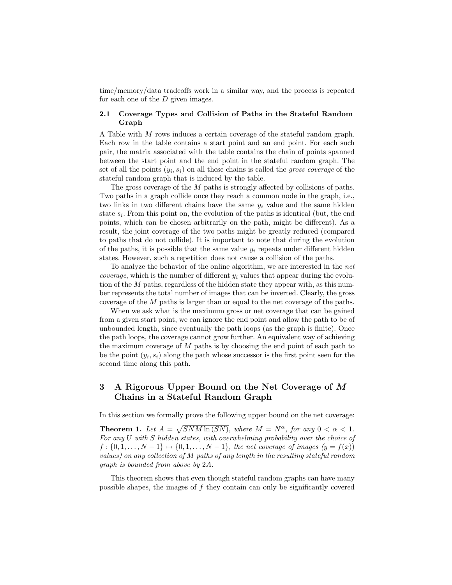time/memory/data tradeoffs work in a similar way, and the process is repeated for each one of the  $D$  given images.

# 2.1 Coverage Types and Collision of Paths in the Stateful Random Graph

A Table with M rows induces a certain coverage of the stateful random graph. Each row in the table contains a start point and an end point. For each such pair, the matrix associated with the table contains the chain of points spanned between the start point and the end point in the stateful random graph. The set of all the points  $(y_i, s_i)$  on all these chains is called the *gross coverage* of the stateful random graph that is induced by the table.

The gross coverage of the M paths is strongly affected by collisions of paths. Two paths in a graph collide once they reach a common node in the graph, i.e., two links in two different chains have the same  $y_i$  value and the same hidden state  $s_i$ . From this point on, the evolution of the paths is identical (but, the end points, which can be chosen arbitrarily on the path, might be different). As a result, the joint coverage of the two paths might be greatly reduced (compared to paths that do not collide). It is important to note that during the evolution of the paths, it is possible that the same value  $y_i$  repeats under different hidden states. However, such a repetition does not cause a collision of the paths.

To analyze the behavior of the online algorithm, we are interested in the net *coverage*, which is the number of different  $y_i$  values that appear during the evolution of the M paths, regardless of the hidden state they appear with, as this number represents the total number of images that can be inverted. Clearly, the gross coverage of the M paths is larger than or equal to the net coverage of the paths.

When we ask what is the maximum gross or net coverage that can be gained from a given start point, we can ignore the end point and allow the path to be of unbounded length, since eventually the path loops (as the graph is finite). Once the path loops, the coverage cannot grow further. An equivalent way of achieving the maximum coverage of M paths is by choosing the end point of each path to be the point  $(y_i, s_i)$  along the path whose successor is the first point seen for the second time along this path.

# 3 A Rigorous Upper Bound on the Net Coverage of M Chains in a Stateful Random Graph

In this section we formally prove the following upper bound on the net coverage:

**Theorem 1.** Let  $A = \sqrt{SNM \ln(SN)}$ , where  $M = N^{\alpha}$ , for any  $0 < \alpha < 1$ . For any U with S hidden states, with overwhelming probability over the choice of  $f: \{0, 1, ..., N-1\} \mapsto \{0, 1, ..., N-1\}$ , the net coverage of images  $(y = f(x))$ values) on any collection of M paths of any length in the resulting stateful random graph is bounded from above by 2A.

This theorem shows that even though stateful random graphs can have many possible shapes, the images of  $f$  they contain can only be significantly covered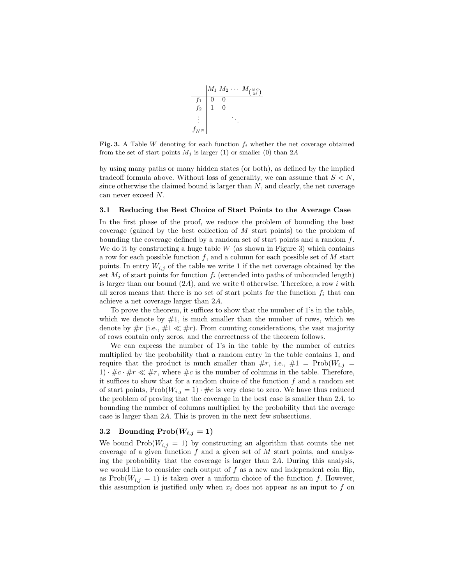$$
\begin{array}{c|cc}\n & M_1 M_2 \cdots M_{N}^{NS} \\
\hline\nf_1 & 0 & 0 \\
f_2 & 1 & 0 \\
\vdots & \\
f_{N}^N\n\end{array}
$$

**Fig. 3.** A Table W denoting for each function  $f_i$  whether the net coverage obtained from the set of start points  $M_j$  is larger (1) or smaller (0) than 2A

by using many paths or many hidden states (or both), as defined by the implied tradeoff formula above. Without loss of generality, we can assume that  $S < N$ , since otherwise the claimed bound is larger than  $N$ , and clearly, the net coverage can never exceed N.

### 3.1 Reducing the Best Choice of Start Points to the Average Case

In the first phase of the proof, we reduce the problem of bounding the best coverage (gained by the best collection of M start points) to the problem of bounding the coverage defined by a random set of start points and a random  $f$ . We do it by constructing a huge table  $W$  (as shown in Figure 3) which contains a row for each possible function  $f$ , and a column for each possible set of  $M$  start points. In entry  $W_{i,j}$  of the table we write 1 if the net coverage obtained by the set  $M_i$  of start points for function  $f_i$  (extended into paths of unbounded length) is larger than our bound  $(2A)$ , and we write 0 otherwise. Therefore, a row i with all zeros means that there is no set of start points for the function  $f_i$  that can achieve a net coverage larger than 2A.

To prove the theorem, it suffices to show that the number of 1's in the table, which we denote by  $#1$ , is much smaller than the number of rows, which we denote by  $\#r$  (i.e.,  $\#1 \ll \#r$ ). From counting considerations, the vast majority of rows contain only zeros, and the correctness of the theorem follows.

We can express the number of 1's in the table by the number of entries multiplied by the probability that a random entry in the table contains 1, and require that the product is much smaller than  $\#r$ , i.e.,  $\#1 = \text{Prob}(W_{i,j} =$  $1) \cdot \text{\#c} \cdot \text{\#r} \ll \text{\#r}$ , where  $\text{\#c}$  is the number of columns in the table. Therefore, it suffices to show that for a random choice of the function  $f$  and a random set of start points,  $\text{Prob}(W_{i,j} = 1) \cdot \text{#c}$  is very close to zero. We have thus reduced the problem of proving that the coverage in the best case is smaller than 2A, to bounding the number of columns multiplied by the probability that the average case is larger than 2A. This is proven in the next few subsections.

### 3.2 Bounding  $\text{Prob}(W_{i,j}=1)$

We bound  $Prob(W_{i,j} = 1)$  by constructing an algorithm that counts the net coverage of a given function  $f$  and a given set of  $M$  start points, and analyzing the probability that the coverage is larger than 2A. During this analysis, we would like to consider each output of  $f$  as a new and independent coin flip, as  $Prob(W_{i,j} = 1)$  is taken over a uniform choice of the function f. However, this assumption is justified only when  $x_i$  does not appear as an input to f on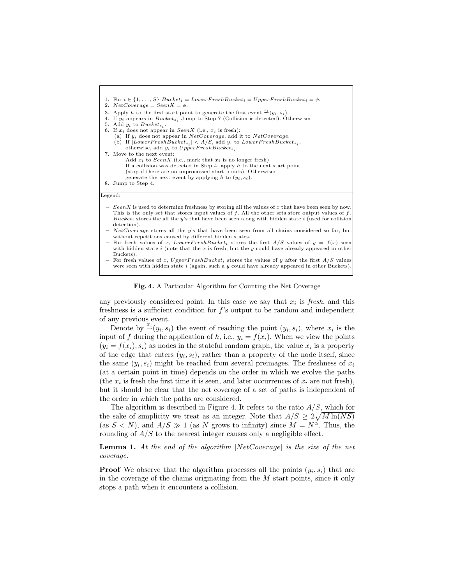

Fig. 4. A Particular Algorithm for Counting the Net Coverage

any previously considered point. In this case we say that  $x_i$  is fresh, and this freshness is a sufficient condition for  $f$ 's output to be random and independent of any previous event.

Denote by  $\overset{x_i}{\rightarrow}(y_i, s_i)$  the event of reaching the point  $(y_i, s_i)$ , where  $x_i$  is the input of f during the application of h, i.e.,  $y_i = f(x_i)$ . When we view the points  $(y_i = f(x_i), s_i)$  as nodes in the stateful random graph, the value  $x_i$  is a property of the edge that enters  $(y_i, s_i)$ , rather than a property of the node itself, since the same  $(y_i, s_i)$  might be reached from several preimages. The freshness of  $x_i$ (at a certain point in time) depends on the order in which we evolve the paths (the  $x_i$  is fresh the first time it is seen, and later occurrences of  $x_i$  are not fresh), but it should be clear that the net coverage of a set of paths is independent of the order in which the paths are considered.

The algorithm is described in Figure 4. It refers to the ratio  $A/S$ , which for the sake of simplicity we treat as an integer. Note that  $A/S \geq 2\sqrt{M \ln(NS)}$ (as  $S \langle N \rangle$ , and  $A/S \gg 1$  (as N grows to infinity) since  $M = N^{\alpha}$ . Thus, the rounding of  $A/S$  to the nearest integer causes only a negligible effect.

**Lemma 1.** At the end of the algorithm  $NetCoverage$  is the size of the net coverage.

**Proof** We observe that the algorithm processes all the points  $(y_i, s_i)$  that are in the coverage of the chains originating from the  $M$  start points, since it only stops a path when it encounters a collision.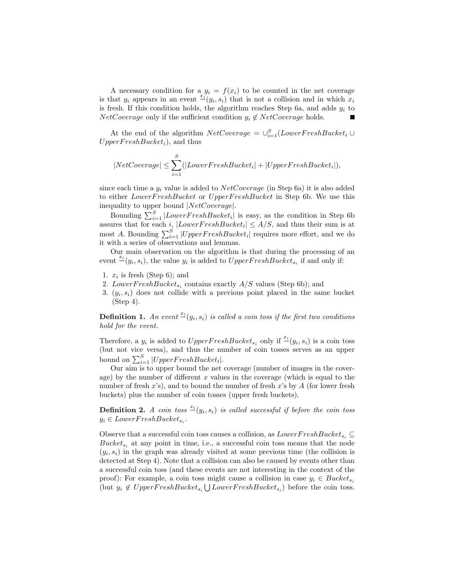A necessary condition for a  $y_i = f(x_i)$  to be counted in the net coverage is that  $y_i$  appears in an event  $\stackrel{x_i}{\rightarrow}(y_i, s_i)$  that is not a collision and in which  $x_i$ is fresh. If this condition holds, the algorithm reaches Step 6a, and adds  $y_i$  to  $NetCoverage$  only if the sufficient condition  $y_i \notin NetCoverage$  holds.

At the end of the algorithm  $NetCoverage = \bigcup_{i=1}^{S} (LowerFreshBucker_i \cup$  $Upper FreshBucket<sub>i</sub>$ ), and thus

$$
|NetCoverage| \leq \sum_{i=1}^{S} (|LowerFreshBucker_i| + |UpperFreshBucker_i|),
$$

since each time a  $y_i$  value is added to  $NetCoverage$  (in Step 6a) it is also added to either LowerFreshBucket or UpperFreshBucket in Step 6b. We use this inequality to upper bound |NetCoverage|.

Bounding  $\sum_{i=1}^{S} |LowerFreshBacket_i|$  is easy, as the condition in Step 6b assures that for each *i*,  $|LowerFreshBucket_i| \leq A/S$ , and thus their sum is at most A. Bounding  $\sum_{i=1}^{S} |UpperFreshBacket_i|$  requires more effort, and we do it with a series of observations and lemmas.

Our main observation on the algorithm is that during the processing of an event  $\stackrel{x_i}{\rightarrow}(y_i, s_i)$ , the value  $y_i$  is added to  $UpperFreshBucket_{s_i}$  if and only if:

- 1.  $x_i$  is fresh (Step 6); and
- 2. LowerFreshBucket<sub>si</sub> contains exactly  $A/S$  values (Step 6b); and
- 3.  $(y_i, s_i)$  does not collide with a previous point placed in the same bucket (Step 4).

**Definition 1.** An event  $\stackrel{x_i}{\rightarrow}(y_i, s_i)$  is called a coin toss if the first two conditions hold for the event.

Therefore, a  $y_i$  is added to  $UpperFreshBuckets_i$  only if  $\overset{x_i}{\rightarrow}(y_i, s_i)$  is a coin toss (but not vice versa), and thus the number of coin tosses serves as an upper bound on  $\sum_{i=1}^{S} |UpperFreshBucket_i|$ .

Our aim is to upper bound the net coverage (number of images in the coverage) by the number of different  $x$  values in the coverage (which is equal to the number of fresh  $x$ 's), and to bound the number of fresh  $x$ 's by  $A$  (for lower fresh buckets) plus the number of coin tosses (upper fresh buckets).

**Definition 2.** A coin toss  $\overset{x_i}{\rightarrow} (y_i, s_i)$  is called successful if before the coin toss  $y_i \in LowerFreshBuckets_i$ .

Observe that a successful coin toss causes a collision, as  $Lower FreshBuckets_s \subseteq$  $Buckets_i$  at any point in time, i.e., a successful coin toss means that the node  $(y_i, s_i)$  in the graph was already visited at some previous time (the collision is detected at Step 4). Note that a collision can also be caused by events other than a successful coin toss (and these events are not interesting in the context of the proof): For example, a coin toss might cause a collision in case  $y_i \in Buckets_i$ (but  $y_i \notin UpperFreshBuckets_i \bigcup LowerFreshBuckets_i$ ) before the coin toss.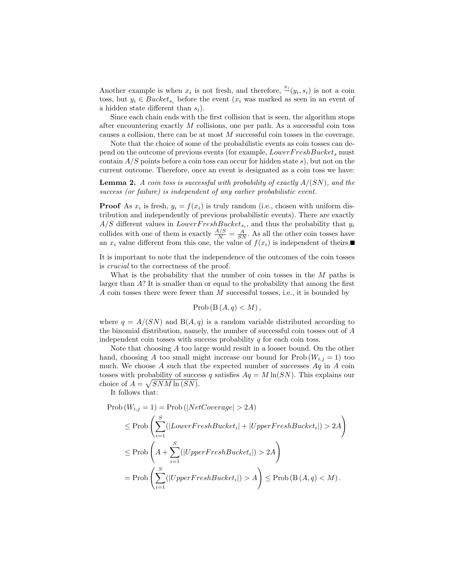Another example is when  $x_i$  is not fresh, and therefore,  $\stackrel{x_i}{\rightarrow} (y_i, s_i)$  is not a coin toss, but  $y_i \in Buckets_i$  before the event  $(x_i$  was marked as seen in an event of a hidden state different than  $s_i$ ).

Since each chain ends with the first collision that is seen, the algorithm stops after encountering exactly M collisions, one per path. As a successful coin toss causes a collision, there can be at most M successful coin tosses in the coverage.

Note that the choice of some of the probabilistic events as coin tosses can depend on the outcome of previous events (for example,  $Lower FreshBacket$ , must contain  $A/S$  points before a coin toss can occur for hidden state s), but not on the current outcome. Therefore, once an event is designated as a coin toss we have:

**Lemma 2.** A coin toss is successful with probability of exactly  $A/(SN)$ , and the success (or failure) is independent of any earlier probabilistic event.

**Proof** As  $x_i$  is fresh,  $y_i = f(x_i)$  is truly random (i.e., chosen with uniform distribution and independently of previous probabilistic events). There are exactly  $A/S$  different values in  $Lower FreshBucket_{s_i}$ , and thus the probability that  $y_i$ collides with one of them is exactly  $\frac{A/S}{N} = \frac{A}{SN}$ . As all the other coin tosses have an  $x_i$  value different from this one, the value of  $f(x_i)$  is independent of theirs.

It is important to note that the independence of the outcomes of the coin tosses is crucial to the correctness of the proof.

What is the probability that the number of coin tosses in the M paths is larger than A? It is smaller than or equal to the probability that among the first A coin tosses there were fewer than M successful tosses, i.e., it is bounded by

$$
Prob(B(A,q) < M),
$$

where  $q = A/(SN)$  and  $B(A, q)$  is a random variable distributed according to the binomial distribution, namely, the number of successful coin tosses out of A independent coin tosses with success probability  $q$  for each coin toss.

Note that choosing A too large would result in a looser bound. On the other hand, choosing A too small might increase our bound for  $\text{Prob}(W_{i,j} = 1)$  too much. We choose  $A$  such that the expected number of successes  $Aq$  in  $A$  coin tosses with probability of success q satisfies  $Aq = M \ln(SN)$ . This explains our choice of  $A = \sqrt{SNM \ln(SN)}$ .

It follows that:

$$
\begin{aligned} \text{Prob}\left(W_{i,j}=1\right) &= \text{Prob}\left(\left|NetCoverage\right| > 2A\right) \\ &\leq \text{Prob}\left(\sum_{i=1}^{S}(\left|LowerFreshBucker_i\right| + \left|UpperFreshBucker_i\right|) > 2A\right) \\ &\leq \text{Prob}\left(A + \sum_{i=1}^{S}(\left|UpperFreshBucker_i\right|) > 2A\right) \\ &= \text{Prob}\left(\sum_{i=1}^{S}(\left|UpperFreshBucker_i\right|) > A\right) \leq \text{Prob}\left(B\left(A,q\right) < M\right). \end{aligned}
$$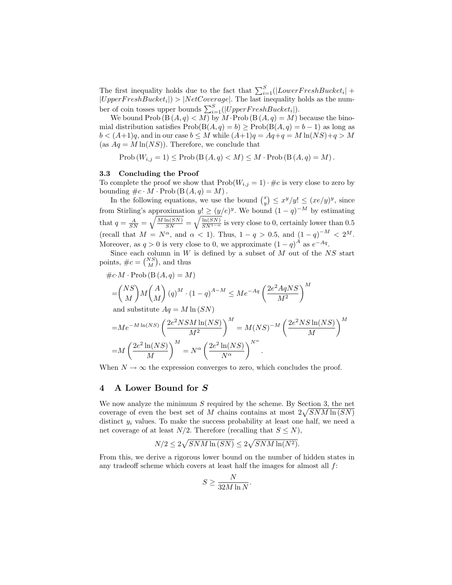The first inequality holds due to the fact that  $\sum_{i=1}^{S}(|LowerFreshBucker_i| +$  $|UpperFreshBacket_i| > |NetCoverage|$ . The last inequality holds as the number of coin tosses upper bounds  $\sum_{i=1}^{S}(|UpperFreshBacket_i|).$ 

We bound Prob  $(B(A, q) < M)$  by  $M \cdot$  Prob  $(B(A, q) = M)$  because the binomial distribution satisfies  $Prob(B(A, q) = b) > Prob(B(A, q) = b - 1)$  as long as  $b < (A+1)q$ , and in our case  $b \leq M$  while  $(A+1)q = Aq+q = M \ln(NS)+q > M$ (as  $Aq = M \ln(NS)$ ). Therefore, we conclude that

$$
\mathrm{Prob}\left(W_{i,j}=1\right) \leq \mathrm{Prob}\left(\mathrm{B}\left(A,q\right) < M\right) \leq M \cdot \mathrm{Prob}\left(\mathrm{B}\left(A,q\right)=M\right).
$$

#### 3.3 Concluding the Proof

To complete the proof we show that  $\text{Prob}(W_{i,j} = 1) \cdot \text{#c}$  is very close to zero by bounding  $\#c \cdot M \cdot \text{Prob}(B(A,q) = M)$ .

In the following equations, we use the bound  $\binom{x}{y} \leq x^y/y! \leq (xe/y)^y$ , since from Stirling's approximation  $y! \ge (y/e)^y$ . We bound  $(1-q)^{-M}$  by estimating that  $q = \frac{A}{SN} = \sqrt{\frac{M \ln(SN)}{SN}} = \sqrt{\frac{\ln(SN)}{SN^{1-\alpha}}}$  is very close to 0, certainly lower than 0.5 (recall that  $M = N^{\alpha}$ , and  $\alpha < 1$ ). Thus,  $1 - q > 0.5$ , and  $(1 - q)^{-M} < 2^M$ . Moreover, as  $q > 0$  is very close to 0, we approximate  $(1 - q)^A$  as  $e^{-Aq}$ .

Since each column in  $W$  is defined by a subset of  $M$  out of the  $NS$  start points,  $\#c = \binom{NS}{M}$ , and thus

 $\#c \cdot M \cdot \text{Prob}(B(A,q) = M)$ 

$$
= {NS \choose M} M {A \choose M} (q)^M \cdot (1-q)^{A-M} \leq Me^{-Aq} \left( \frac{2e^2 A q N S}{M^2} \right)^M
$$

and substitute  $Aq = M \ln(SN)$ 

$$
=Me^{-M\ln(NS)}\left(\frac{2e^2NSM\ln(NS)}{M^2}\right)^M = M(NS)^{-M}\left(\frac{2e^2NS\ln(NS)}{M}\right)^M
$$

$$
=M\left(\frac{2e^2\ln(NS)}{M}\right)^M = N^{\alpha}\left(\frac{2e^2\ln(NS)}{N^{\alpha}}\right)^{N^{\alpha}}.
$$

When  $N \to \infty$  the expression converges to zero, which concludes the proof.

### 4 A Lower Bound for S

We now analyze the minimum  $S$  required by the scheme. By Section 3, the net coverage of even the best set of M chains contains at most  $2\sqrt{SNM\ln(SN)}$ distinct  $y_i$  values. To make the success probability at least one half, we need a net coverage of at least  $N/2$ . Therefore (recalling that  $S \leq N$ ),

$$
N/2 \le 2\sqrt{SNM\ln(SN)} \le 2\sqrt{SNM\ln(N^2)}.
$$

From this, we derive a rigorous lower bound on the number of hidden states in any tradeoff scheme which covers at least half the images for almost all f:

$$
S \ge \frac{N}{32M\ln N}.
$$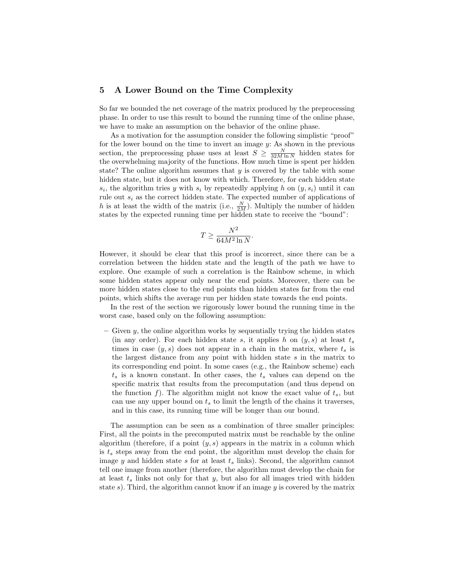# 5 A Lower Bound on the Time Complexity

So far we bounded the net coverage of the matrix produced by the preprocessing phase. In order to use this result to bound the running time of the online phase, we have to make an assumption on the behavior of the online phase.

As a motivation for the assumption consider the following simplistic "proof" for the lower bound on the time to invert an image  $y$ : As shown in the previous section, the preprocessing phase uses at least  $S \geq \frac{N}{32M \ln N}$  hidden states for the overwhelming majority of the functions. How much time is spent per hidden state? The online algorithm assumes that  $y$  is covered by the table with some hidden state, but it does not know with which. Therefore, for each hidden state  $s_i$ , the algorithm tries y with  $s_i$  by repeatedly applying h on  $(y, s_i)$  until it can rule out  $s_i$  as the correct hidden state. The expected number of applications of h is at least the width of the matrix (i.e.,  $\frac{N}{2M}$ ). Multiply the number of hidden states by the expected running time per hidden state to receive the "bound":

$$
T \ge \frac{N^2}{64M^2 \ln N}.
$$

However, it should be clear that this proof is incorrect, since there can be a correlation between the hidden state and the length of the path we have to explore. One example of such a correlation is the Rainbow scheme, in which some hidden states appear only near the end points. Moreover, there can be more hidden states close to the end points than hidden states far from the end points, which shifts the average run per hidden state towards the end points.

In the rest of the section we rigorously lower bound the running time in the worst case, based only on the following assumption:

 $-$  Given y, the online algorithm works by sequentially trying the hidden states (in any order). For each hidden state s, it applies h on  $(y, s)$  at least  $t_s$ times in case  $(y, s)$  does not appear in a chain in the matrix, where  $t_s$  is the largest distance from any point with hidden state  $s$  in the matrix to its corresponding end point. In some cases (e.g., the Rainbow scheme) each  $t<sub>s</sub>$  is a known constant. In other cases, the  $t<sub>s</sub>$  values can depend on the specific matrix that results from the precomputation (and thus depend on the function f). The algorithm might not know the exact value of  $t_s$ , but can use any upper bound on  $t_s$  to limit the length of the chains it traverses, and in this case, its running time will be longer than our bound.

The assumption can be seen as a combination of three smaller principles: First, all the points in the precomputed matrix must be reachable by the online algorithm (therefore, if a point  $(y, s)$  appears in the matrix in a column which is  $t<sub>s</sub>$  steps away from the end point, the algorithm must develop the chain for image y and hidden state s for at least  $t_s$  links). Second, the algorithm cannot tell one image from another (therefore, the algorithm must develop the chain for at least  $t_s$  links not only for that y, but also for all images tried with hidden state s). Third, the algorithm cannot know if an image  $y$  is covered by the matrix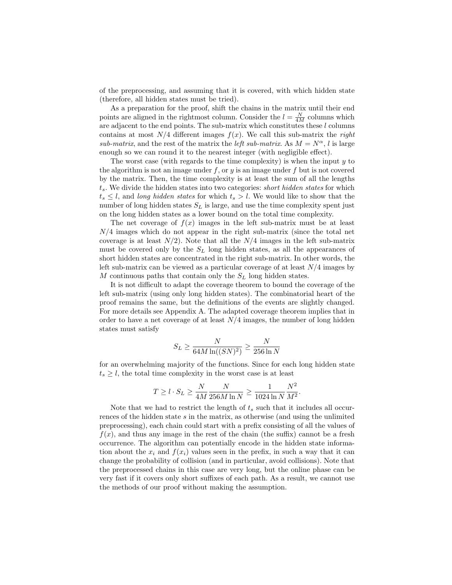of the preprocessing, and assuming that it is covered, with which hidden state (therefore, all hidden states must be tried).

As a preparation for the proof, shift the chains in the matrix until their end points are aligned in the rightmost column. Consider the  $l = \frac{N}{4M}$  columns which are adjacent to the end points. The sub-matrix which constitutes these  $l$  columns contains at most  $N/4$  different images  $f(x)$ . We call this sub-matrix the right sub-matrix, and the rest of the matrix the *left sub-matrix*. As  $M = N^{\alpha}$ , *l* is large enough so we can round it to the nearest integer (with negligible effect).

The worst case (with regards to the time complexity) is when the input  $y$  to the algorithm is not an image under  $f$ , or  $y$  is an image under  $f$  but is not covered by the matrix. Then, the time complexity is at least the sum of all the lengths  $t<sub>s</sub>$ . We divide the hidden states into two categories: *short hidden states* for which  $t_s \leq l$ , and long hidden states for which  $t_s > l$ . We would like to show that the number of long hidden states  $S_L$  is large, and use the time complexity spent just on the long hidden states as a lower bound on the total time complexity.

The net coverage of  $f(x)$  images in the left sub-matrix must be at least  $N/4$  images which do not appear in the right sub-matrix (since the total net coverage is at least  $N/2$ ). Note that all the  $N/4$  images in the left sub-matrix must be covered only by the  $S_L$  long hidden states, as all the appearances of short hidden states are concentrated in the right sub-matrix. In other words, the left sub-matrix can be viewed as a particular coverage of at least  $N/4$  images by  $M$  continuous paths that contain only the  $S_L$  long hidden states.

It is not difficult to adapt the coverage theorem to bound the coverage of the left sub-matrix (using only long hidden states). The combinatorial heart of the proof remains the same, but the definitions of the events are slightly changed. For more details see Appendix A. The adapted coverage theorem implies that in order to have a net coverage of at least  $N/4$  images, the number of long hidden states must satisfy

$$
S_L \ge \frac{N}{64M\ln((SN)^2)} \ge \frac{N}{256\ln N}
$$

for an overwhelming majority of the functions. Since for each long hidden state  $t_s \geq l$ , the total time complexity in the worst case is at least

$$
T \ge l \cdot S_L \ge \frac{N}{4M} \frac{N}{256 M \ln N} \ge \frac{1}{1024 \ln N} \frac{N^2}{M^2}.
$$

Note that we had to restrict the length of  $t_s$  such that it includes all occurrences of the hidden state  $s$  in the matrix, as otherwise (and using the unlimited preprocessing), each chain could start with a prefix consisting of all the values of  $f(x)$ , and thus any image in the rest of the chain (the suffix) cannot be a fresh occurrence. The algorithm can potentially encode in the hidden state information about the  $x_i$  and  $f(x_i)$  values seen in the prefix, in such a way that it can change the probability of collision (and in particular, avoid collisions). Note that the preprocessed chains in this case are very long, but the online phase can be very fast if it covers only short suffixes of each path. As a result, we cannot use the methods of our proof without making the assumption.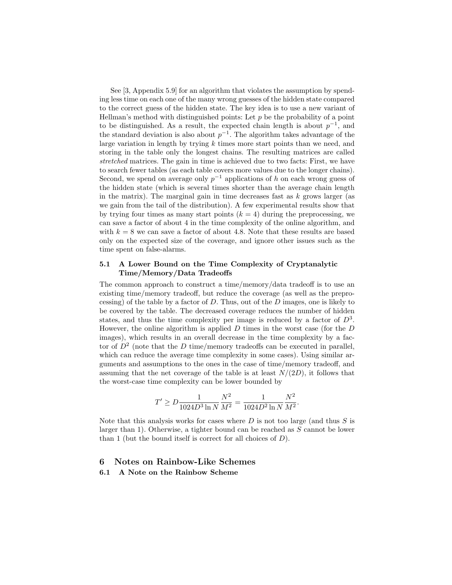See [3, Appendix 5.9] for an algorithm that violates the assumption by spending less time on each one of the many wrong guesses of the hidden state compared to the correct guess of the hidden state. The key idea is to use a new variant of Hellman's method with distinguished points: Let  $p$  be the probability of a point to be distinguished. As a result, the expected chain length is about  $p^{-1}$ , and the standard deviation is also about  $p^{-1}$ . The algorithm takes advantage of the large variation in length by trying  $k$  times more start points than we need, and storing in the table only the longest chains. The resulting matrices are called stretched matrices. The gain in time is achieved due to two facts: First, we have to search fewer tables (as each table covers more values due to the longer chains). Second, we spend on average only  $p^{-1}$  applications of h on each wrong guess of the hidden state (which is several times shorter than the average chain length in the matrix). The marginal gain in time decreases fast as  $k$  grows larger (as we gain from the tail of the distribution). A few experimental results show that by trying four times as many start points  $(k = 4)$  during the preprocessing, we can save a factor of about 4 in the time complexity of the online algorithm, and with  $k = 8$  we can save a factor of about 4.8. Note that these results are based only on the expected size of the coverage, and ignore other issues such as the time spent on false-alarms.

### 5.1 A Lower Bound on the Time Complexity of Cryptanalytic Time/Memory/Data Tradeoffs

The common approach to construct a time/memory/data tradeoff is to use an existing time/memory tradeoff, but reduce the coverage (as well as the preprocessing) of the table by a factor of  $D$ . Thus, out of the  $D$  images, one is likely to be covered by the table. The decreased coverage reduces the number of hidden states, and thus the time complexity per image is reduced by a factor of  $D^3$ . However, the online algorithm is applied  $D$  times in the worst case (for the  $D$ images), which results in an overall decrease in the time complexity by a factor of  $D^2$  (note that the D time/memory tradeoffs can be executed in parallel, which can reduce the average time complexity in some cases). Using similar arguments and assumptions to the ones in the case of time/memory tradeoff, and assuming that the net coverage of the table is at least  $N/(2D)$ , it follows that the worst-case time complexity can be lower bounded by

$$
T'\geq D\frac{1}{1024D^3\ln N}\frac{N^2}{M^2}=\frac{1}{1024D^2\ln N}\frac{N^2}{M^2}.
$$

Note that this analysis works for cases where  $D$  is not too large (and thus  $S$  is larger than 1). Otherwise, a tighter bound can be reached as S cannot be lower than 1 (but the bound itself is correct for all choices of  $D$ ).

#### 6 Notes on Rainbow-Like Schemes

6.1 A Note on the Rainbow Scheme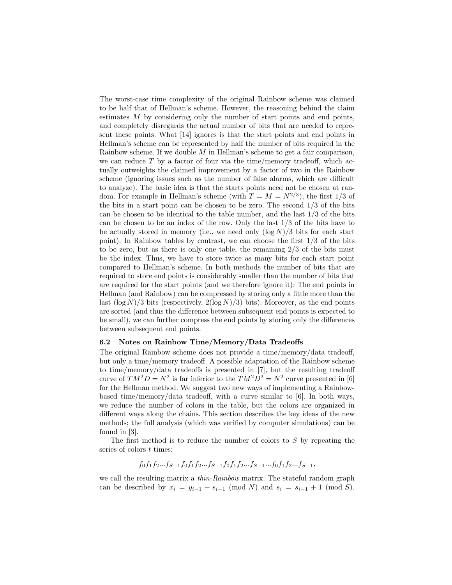The worst-case time complexity of the original Rainbow scheme was claimed to be half that of Hellman's scheme. However, the reasoning behind the claim estimates  $M$  by considering only the number of start points and end points, and completely disregards the actual number of bits that are needed to represent these points. What [14] ignores is that the start points and end points in Hellman's scheme can be represented by half the number of bits required in the Rainbow scheme. If we double  $M$  in Hellman's scheme to get a fair comparison, we can reduce  $T$  by a factor of four via the time/memory tradeoff, which actually outweights the claimed improvement by a factor of two in the Rainbow scheme (ignoring issues such as the number of false alarms, which are difficult to analyze). The basic idea is that the starts points need not be chosen at random. For example in Hellman's scheme (with  $T = M = N^{2/3}$ ), the first 1/3 of the bits in a start point can be chosen to be zero. The second  $1/3$  of the bits can be chosen to be identical to the table number, and the last 1/3 of the bits can be chosen to be an index of the row. Only the last 1/3 of the bits have to be actually stored in memory (i.e., we need only  $(\log N)/3$  bits for each start point). In Rainbow tables by contrast, we can choose the first 1/3 of the bits to be zero, but as there is only one table, the remaining 2/3 of the bits must be the index. Thus, we have to store twice as many bits for each start point compared to Hellman's scheme. In both methods the number of bits that are required to store end points is considerably smaller than the number of bits that are required for the start points (and we therefore ignore it): The end points in Hellman (and Rainbow) can be compressed by storing only a little more than the last  $(\log N)/3$  bits (respectively,  $2(\log N)/3$ ) bits). Moreover, as the end points are sorted (and thus the difference between subsequent end points is expected to be small), we can further compress the end points by storing only the differences between subsequent end points.

#### 6.2 Notes on Rainbow Time/Memory/Data Tradeoffs

The original Rainbow scheme does not provide a time/memory/data tradeoff, but only a time/memory tradeoff. A possible adaptation of the Rainbow scheme to time/memory/data tradeoffs is presented in [7], but the resulting tradeoff curve of  $TM^2D = N^2$  is far inferior to the  $TM^2D^2 = N^2$  curve presented in [6] for the Hellman method. We suggest two new ways of implementing a Rainbowbased time/memory/data tradeoff, with a curve similar to [6]. In both ways, we reduce the number of colors in the table, but the colors are organized in different ways along the chains. This section describes the key ideas of the new methods; the full analysis (which was verified by computer simulations) can be found in [3].

The first method is to reduce the number of colors to S by repeating the series of colors t times:

$$
f_0f_1f_2...f_{S-1}f_0f_1f_2...f_{S-1}f_0f_1f_2...f_{S-1}...f_0f_1f_2...f_{S-1},
$$

we call the resulting matrix a *thin-Rainbow* matrix. The stateful random graph can be described by  $x_i = y_{i-1} + s_{i-1} \pmod{N}$  and  $s_i = s_{i-1} + 1 \pmod{S}$ .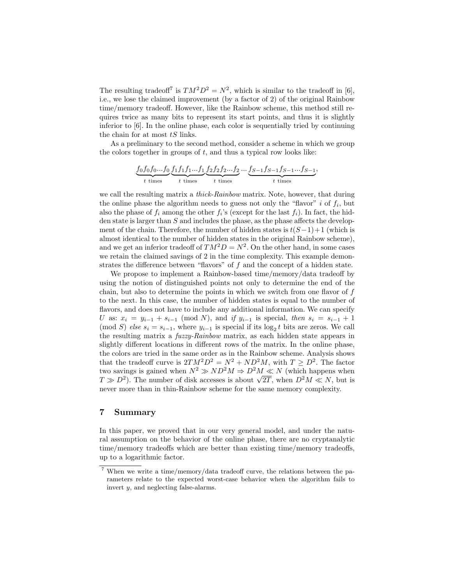The resulting tradeof<sup>7</sup> is  $TM^2D^2 = N^2$ , which is similar to the tradeoff in [6], i.e., we lose the claimed improvement (by a factor of 2) of the original Rainbow time/memory tradeoff. However, like the Rainbow scheme, this method still requires twice as many bits to represent its start points, and thus it is slightly inferior to [6]. In the online phase, each color is sequentially tried by continuing the chain for at most  $tS$  links.

As a preliminary to the second method, consider a scheme in which we group the colors together in groups of  $t$ , and thus a typical row looks like:

$$
\underbrace{f_0f_0f_0...f_0}_{t \text{ times}}\underbrace{f_1f_1f_1...f_1}_{t \text{ times}}\underbrace{f_2f_2f_2...f_2}_{t \text{ times}}\cdots \underbrace{f_{S-1}f_{S-1}.f_{S-1}...f_{S-1}}_{t \text{ times}},
$$

we call the resulting matrix a *thick-Rainbow* matrix. Note, however, that during the online phase the algorithm needs to guess not only the "flavor"  $i$  of  $f_i$ , but also the phase of  $f_i$  among the other  $f_i$ 's (except for the last  $f_i$ ). In fact, the hidden state is larger than  $S$  and includes the phase, as the phase affects the development of the chain. Therefore, the number of hidden states is  $t(S-1)+1$  (which is almost identical to the number of hidden states in the original Rainbow scheme), and we get an inferior tradeoff of  $TM^2D = N^2$ . On the other hand, in some cases we retain the claimed savings of 2 in the time complexity. This example demonstrates the difference between "flavors" of  $f$  and the concept of a hidden state.

We propose to implement a Rainbow-based time/memory/data tradeoff by using the notion of distinguished points not only to determine the end of the chain, but also to determine the points in which we switch from one flavor of  $f$ to the next. In this case, the number of hidden states is equal to the number of flavors, and does not have to include any additional information. We can specify U as:  $x_i = y_{i-1} + s_{i-1} \pmod{N}$ , and if  $y_{i-1}$  is special, then  $s_i = s_{i-1} + 1$ (mod S) else  $s_i = s_{i-1}$ , where  $y_{i-1}$  is special if its log<sub>2</sub>t bits are zeros. We call the resulting matrix a fuzzy-Rainbow matrix, as each hidden state appears in slightly different locations in different rows of the matrix. In the online phase, the colors are tried in the same order as in the Rainbow scheme. Analysis shows that the tradeoff curve is  $2TM^2D^2 = N^2 + ND^2M$ , with  $T \ge D^2$ . The factor two savings is gained when  $N^2 \gg ND^2M \Rightarrow D^2M \ll N$  (which happens when two savings is gained when  $N^2 \gg N D^2 M \Rightarrow D^2 M \ll N$  (which happens when  $T \gg D^2$ ). The number of disk accesses is about  $\sqrt{2T}$ , when  $D^2 M \ll N$ , but is never more than in thin-Rainbow scheme for the same memory complexity.

# 7 Summary

In this paper, we proved that in our very general model, and under the natural assumption on the behavior of the online phase, there are no cryptanalytic time/memory tradeoffs which are better than existing time/memory tradeoffs, up to a logarithmic factor.

<sup>7</sup> When we write a time/memory/data tradeoff curve, the relations between the parameters relate to the expected worst-case behavior when the algorithm fails to invert y, and neglecting false-alarms.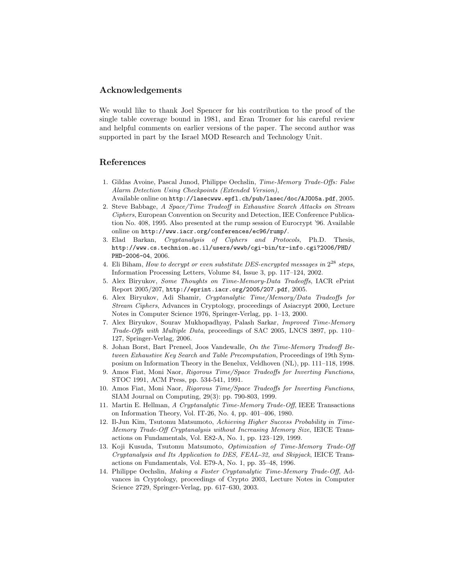# Acknowledgements

We would like to thank Joel Spencer for his contribution to the proof of the single table coverage bound in 1981, and Eran Tromer for his careful review and helpful comments on earlier versions of the paper. The second author was supported in part by the Israel MOD Research and Technology Unit.

# References

- 1. Gildas Avoine, Pascal Junod, Philippe Oechslin, Time-Memory Trade-Offs: False Alarm Detection Using Checkpoints (Extended Version),
	- Available online on http://lasecwww.epfl.ch/pub/lasec/doc/AJO05a.pdf, 2005.
- 2. Steve Babbage, A Space/Time Tradeoff in Exhaustive Search Attacks on Stream Ciphers, European Convention on Security and Detection, IEE Conference Publication No. 408, 1995. Also presented at the rump session of Eurocrypt '96. Available online on http://www.iacr.org/conferences/ec96/rump/.
- 3. Elad Barkan, Cryptanalysis of Ciphers and Protocols, Ph.D. Thesis, http://www.cs.technion.ac.il/users/wwwb/cgi-bin/tr-info.cgi?2006/PHD/ PHD-2006-04, 2006.
- 4. Eli Biham, How to decrypt or even substitute DES-encrypted messages in  $2^{28}$  steps, Information Processing Letters, Volume 84, Issue 3, pp. 117–124, 2002.
- 5. Alex Biryukov, Some Thoughts on Time-Memory-Data Tradeoffs, IACR ePrint Report 2005/207, http://eprint.iacr.org/2005/207.pdf, 2005.
- 6. Alex Biryukov, Adi Shamir, Cryptanalytic Time/Memory/Data Tradeoffs for Stream Ciphers, Advances in Cryptology, proceedings of Asiacrypt 2000, Lecture Notes in Computer Science 1976, Springer-Verlag, pp. 1–13, 2000.
- 7. Alex Biryukov, Sourav Mukhopadhyay, Palash Sarkar, Improved Time-Memory Trade-Offs with Multiple Data, proceedings of SAC 2005, LNCS 3897, pp. 110– 127, Springer-Verlag, 2006.
- 8. Johan Borst, Bart Preneel, Joos Vandewalle, On the Time-Memory Tradeoff Between Exhaustive Key Search and Table Precomputation, Proceedings of 19th Symposium on Information Theory in the Benelux, Veldhoven (NL), pp. 111–118, 1998.
- 9. Amos Fiat, Moni Naor, Rigorous Time/Space Tradeoffs for Inverting Functions, STOC 1991, ACM Press, pp. 534-541, 1991.
- 10. Amos Fiat, Moni Naor, Rigorous Time/Space Tradeoffs for Inverting Functions, SIAM Journal on Computing, 29(3): pp. 790-803, 1999.
- 11. Martin E. Hellman, A Cryptanalytic Time-Memory Trade-Off, IEEE Transactions on Information Theory, Vol. IT-26, No. 4, pp. 401–406, 1980.
- 12. Il-Jun Kim, Tsutomu Matsumoto, Achieving Higher Success Probability in Time-Memory Trade-Off Cryptanalysis without Increasing Memory Size, IEICE Transactions on Fundamentals, Vol. E82-A, No. 1, pp. 123–129, 1999.
- 13. Koji Kusuda, Tsutomu Matsumoto, Optimization of Time-Memory Trade-Off Cryptanalysis and Its Application to DES, FEAL-32, and Skipjack, IEICE Transactions on Fundamentals, Vol. E79-A, No. 1, pp. 35–48, 1996.
- 14. Philippe Oechslin, Making a Faster Cryptanalytic Time-Memory Trade-Off, Advances in Cryptology, proceedings of Crypto 2003, Lecture Notes in Computer Science 2729, Springer-Verlag, pp. 617–630, 2003.